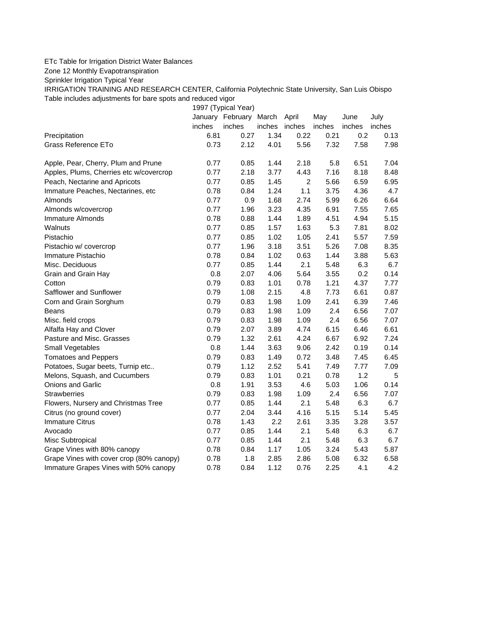## ETc Table for Irrigation District Water Balances

Zone 12 Monthly Evapotranspiration

Sprinkler Irrigation Typical Year

IRRIGATION TRAINING AND RESEARCH CENTER, California Polytechnic State University, San Luis Obispo Table includes adjustments for bare spots and reduced vigor

1997 (Typical Year) January February March April May June July inches inches inches inches inches inches inches Precipitation 6.81 0.27 1.34 0.22 0.21 0.2 0.13 Grass Reference ETo **0.73** 2.12 4.01 5.56 7.32 7.58 7.98 Apple, Pear, Cherry, Plum and Prune  $0.77$   $0.85$  1.44 2.18 5.8 6.51 7.04 Apples, Plums, Cherries etc w/covercrop 0.77 2.18 3.77 4.43 7.16 8.18 8.48 Peach, Nectarine and Apricots **0.77** 0.85 1.45 2 5.66 6.59 6.95 Immature Peaches, Nectarines, etc 0.78 0.84 1.24 1.1 3.75 4.36 4.7 Almonds 0.77 0.9 1.68 2.74 5.99 6.26 6.64 Almonds w/covercrop 0.77 1.96 3.23 4.35 6.91 7.55 7.65 Immature Almonds 0.78 0.88 1.44 1.89 4.51 4.94 5.15 Walnuts 0.77 0.85 1.57 1.63 5.3 7.81 8.02 Pistachio 0.77 0.85 1.02 1.05 2.41 5.57 7.59 Pistachio w/ covercrop 0.77 1.96 3.18 3.51 5.26 7.08 8.35 Immature Pistachio 0.78 0.84 1.02 0.63 1.44 3.88 5.63 Misc. Deciduous 0.77 0.85 1.44 2.1 5.48 6.3 6.7 Grain and Grain Hay 0.8 2.07 4.06 5.64 3.55 0.2 0.14 Cotton 0.79 0.83 1.01 0.78 1.21 4.37 7.77 Safflower and Sunflower 0.79 1.08 2.15 4.8 7.73 6.61 0.87 Corn and Grain Sorghum 0.79 0.83 1.98 1.09 2.41 6.39 7.46 Beans 0.79 0.83 1.98 1.09 2.4 6.56 7.07 Misc. field crops 0.79 0.83 1.98 1.09 2.4 6.56 7.07 Alfalfa Hay and Clover 0.79 2.07 3.89 4.74 6.15 6.46 6.61 Pasture and Misc. Grasses 0.79 1.32 2.61 4.24 6.67 6.92 7.24 Small Vegetables 0.8 1.44 3.63 9.06 2.42 0.19 0.14 Tomatoes and Peppers 0.79 0.83 1.49 0.72 3.48 7.45 6.45 Potatoes, Sugar beets, Turnip etc.. 0.79 1.12 2.52 5.41 7.49 7.77 7.09 Melons, Squash, and Cucumbers 0.79 0.83 1.01 0.21 0.78 1.2 5 Onions and Garlic 0.8 1.91 3.53 4.6 5.03 1.06 0.14 Strawberries 0.79 0.83 1.98 1.09 2.4 6.56 7.07 Flowers, Nursery and Christmas Tree  $0.77$   $0.85$  1.44 2.1 5.48 6.3 6.7 Citrus (no ground cover) 0.77 2.04 3.44 4.16 5.15 5.14 5.45 Immature Citrus 1.43 2.2 2.61 3.35 3.28 3.57 Avocado 0.77 0.85 1.44 2.1 5.48 6.3 6.7 Misc Subtropical 0.77 0.85 1.44 2.1 5.48 6.3 6.7 Grape Vines with 80% canopy  $0.78$  0.84 1.17 1.05 3.24 5.43 5.87 Grape Vines with cover crop (80% canopy)  $0.78$  1.8 2.85 2.86 5.08 6.32 6.58 Immature Grapes Vines with 50% canopy 0.78 0.84 1.12 0.76 2.25 4.1 4.2